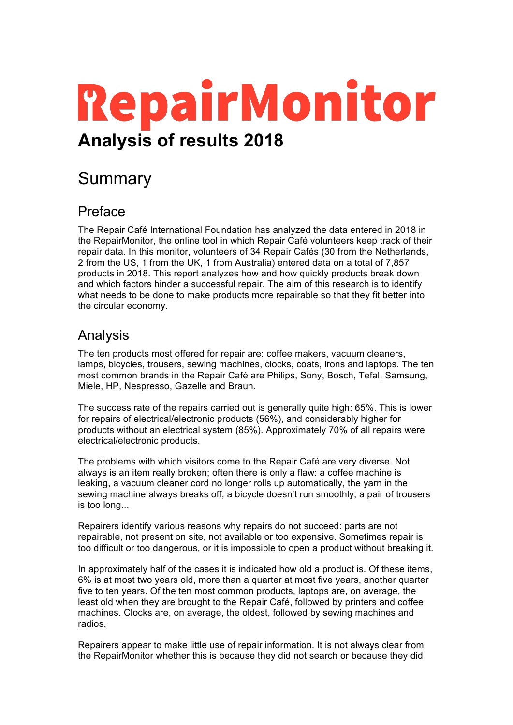# **RepairMonitor Analysis of results 2018**

## **Summary**

## Preface

The Repair Café International Foundation has analyzed the data entered in 2018 in the RepairMonitor, the online tool in which Repair Café volunteers keep track of their repair data. In this monitor, volunteers of 34 Repair Cafés (30 from the Netherlands, 2 from the US, 1 from the UK, 1 from Australia) entered data on a total of 7,857 products in 2018. This report analyzes how and how quickly products break down and which factors hinder a successful repair. The aim of this research is to identify what needs to be done to make products more repairable so that they fit better into the circular economy.

## Analysis

The ten products most offered for repair are: coffee makers, vacuum cleaners, lamps, bicycles, trousers, sewing machines, clocks, coats, irons and laptops. The ten most common brands in the Repair Café are Philips, Sony, Bosch, Tefal, Samsung, Miele, HP, Nespresso, Gazelle and Braun.

The success rate of the repairs carried out is generally quite high: 65%. This is lower for repairs of electrical/electronic products (56%), and considerably higher for products without an electrical system (85%). Approximately 70% of all repairs were electrical/electronic products.

The problems with which visitors come to the Repair Café are very diverse. Not always is an item really broken; often there is only a flaw: a coffee machine is leaking, a vacuum cleaner cord no longer rolls up automatically, the yarn in the sewing machine always breaks off, a bicycle doesn't run smoothly, a pair of trousers is too long...

Repairers identify various reasons why repairs do not succeed: parts are not repairable, not present on site, not available or too expensive. Sometimes repair is too difficult or too dangerous, or it is impossible to open a product without breaking it.

In approximately half of the cases it is indicated how old a product is. Of these items, 6% is at most two years old, more than a quarter at most five years, another quarter five to ten years. Of the ten most common products, laptops are, on average, the least old when they are brought to the Repair Café, followed by printers and coffee machines. Clocks are, on average, the oldest, followed by sewing machines and radios.

Repairers appear to make little use of repair information. It is not always clear from the RepairMonitor whether this is because they did not search or because they did